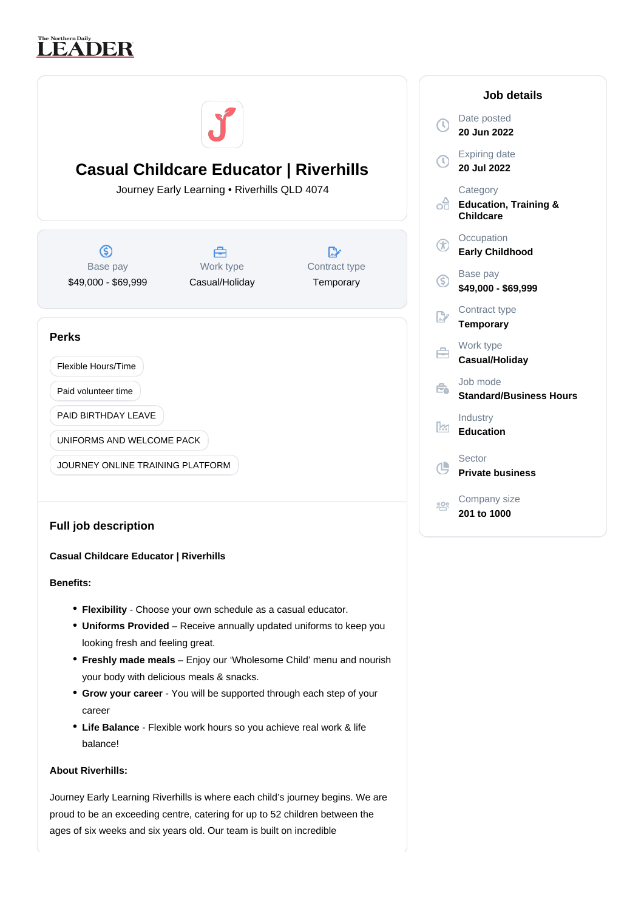# The Northern Daily<br>LEADER



# **Casual Childcare Educator | Riverhills**

## **Benefits:**

- **Flexibility** Choose your own schedule as a casual educator.
- **Uniforms Provided** Receive annually updated uniforms to keep you looking fresh and feeling great.
- **Freshly made meals** Enjoy our 'Wholesome Child' menu and nourish your body with delicious meals & snacks.
- Grow your career You will be supported through each step of your career
- Life Balance Flexible work hours so you achieve real work & life balance!

# **About Riverhills:**

Journey Early Learning Riverhills is where each child's journey begins. We are proud to be an exceeding centre, catering for up to 52 children between the ages of six weeks and six years old. Our team is built on incredible

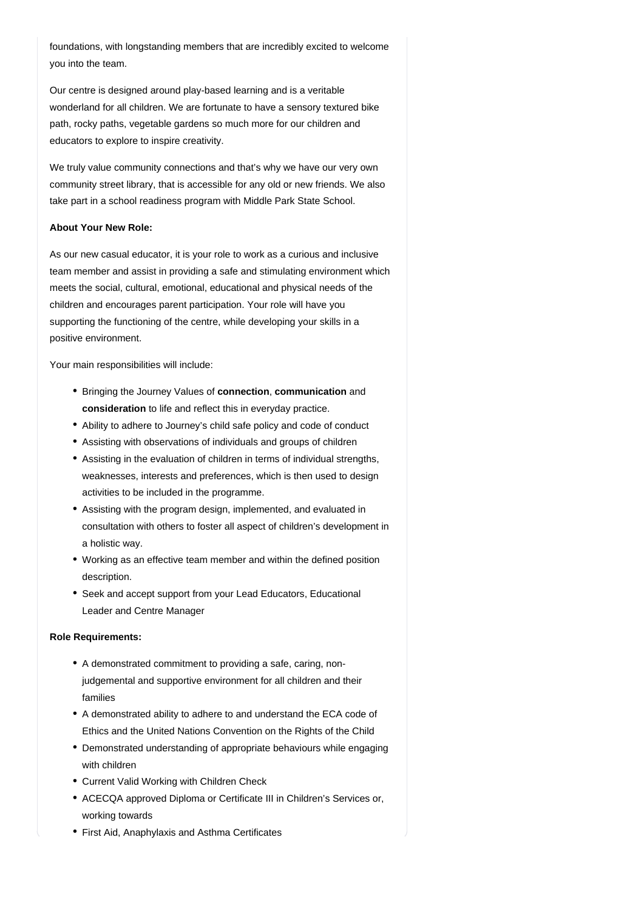foundations, with longstanding members that are incredibly excited to welcome you into the team.

Our centre is designed around play-based learning and is a veritable wonderland for all children. We are fortunate to have a sensory textured bike path, rocky paths, vegetable gardens so much more for our children and educators to explore to inspire creativity.

We truly value community connections and that's why we have our very own community street library, that is accessible for any old or new friends. We also take part in a school readiness program with Middle Park State School.

# **About Your New Role:**

As our new casual educator, it is your role to work as a curious and inclusive team member and assist in providing a safe and stimulating environment which meets the social, cultural, emotional, educational and physical needs of the children and encourages parent participation. Your role will have you supporting the functioning of the centre, while developing your skills in a positive environment.

Your main responsibilities will include:

- Bringing the Journey Values of **connection**, **communication** and consideration to life and reflect this in everyday practice.
- Ability to adhere to Journey's child safe policy and code of conduct
- Assisting with observations of individuals and groups of children
- Assisting in the evaluation of children in terms of individual strengths, weaknesses, interests and preferences, which is then used to design activities to be included in the programme.
- Assisting with the program design, implemented, and evaluated in consultation with others to foster all aspect of children's development in a holistic way.
- Working as an effective team member and within the defined position description.
- Seek and accept support from your Lead Educators, Educational Leader and Centre Manager

#### **Role Requirements:**

- A demonstrated commitment to providing a safe, caring, nonjudgemental and supportive environment for all children and their families
- A demonstrated ability to adhere to and understand the ECA code of Ethics and the United Nations Convention on the Rights of the Child
- Demonstrated understanding of appropriate behaviours while engaging with children
- Current Valid Working with Children Check
- ACECQA approved Diploma or Certificate III in Children's Services or, working towards
- First Aid, Anaphylaxis and Asthma Certificates